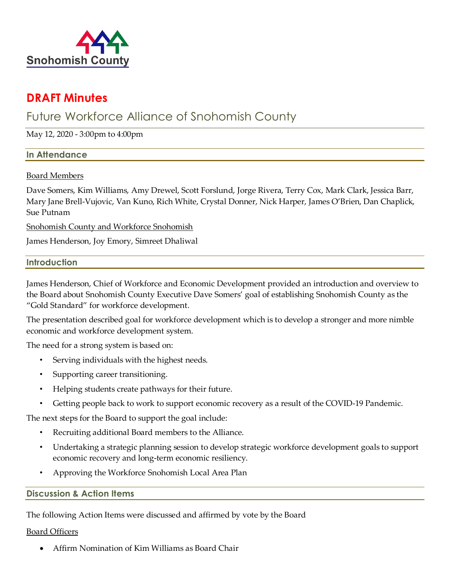

# **DRAFT Minutes**

# Future Workforce Alliance of Snohomish County

May 12, 2020 - 3:00pm to 4:00pm

## **In Attendance**

## Board Members

Dave Somers, Kim Williams, Amy Drewel, Scott Forslund, Jorge Rivera, Terry Cox, Mark Clark, Jessica Barr, Mary Jane Brell-Vujovic, Van Kuno, Rich White, Crystal Donner, Nick Harper, James O'Brien, Dan Chaplick, Sue Putnam

Snohomish County and Workforce Snohomish

James Henderson, Joy Emory, Simreet Dhaliwal

## **Introduction**

James Henderson, Chief of Workforce and Economic Development provided an introduction and overview to the Board about Snohomish County Executive Dave Somers' goal of establishing Snohomish County as the "Gold Standard" for workforce development.

The presentation described goal for workforce development which is to develop a stronger and more nimble economic and workforce development system.

The need for a strong system is based on:

- Serving individuals with the highest needs.
- Supporting career transitioning.
- Helping students create pathways for their future.
- Getting people back to work to support economic recovery as a result of the COVID-19 Pandemic.

The next steps for the Board to support the goal include:

- Recruiting additional Board members to the Alliance.
- Undertaking a strategic planning session to develop strategic workforce development goals to support economic recovery and long-term economic resiliency.
- Approving the Workforce Snohomish Local Area Plan

## **Discussion & Action Items**

The following Action Items were discussed and affirmed by vote by the Board

## Board Officers

• Affirm Nomination of Kim Williams as Board Chair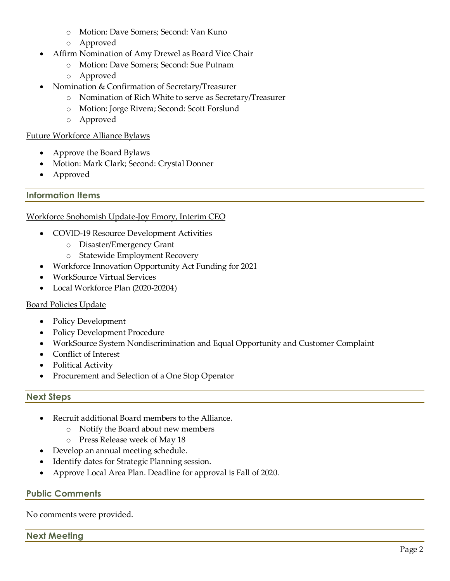- o Motion: Dave Somers; Second: Van Kuno
- o Approved
- Affirm Nomination of Amy Drewel as Board Vice Chair
	- o Motion: Dave Somers; Second: Sue Putnam
	- o Approved
- Nomination & Confirmation of Secretary/Treasurer
	- o Nomination of Rich White to serve as Secretary/Treasurer
	- o Motion: Jorge Rivera; Second: Scott Forslund
	- o Approved

#### Future Workforce Alliance Bylaws

- Approve the Board Bylaws
- Motion: Mark Clark; Second: Crystal Donner
- Approved

## **Information Items**

## Workforce Snohomish Update-Joy Emory, Interim CEO

- COVID-19 Resource Development Activities
	- o Disaster/Emergency Grant
	- o Statewide Employment Recovery
- Workforce Innovation Opportunity Act Funding for 2021
- WorkSource Virtual Services
- Local Workforce Plan (2020-20204)

## Board Policies Update

- Policy Development
- Policy Development Procedure
- WorkSource System Nondiscrimination and Equal Opportunity and Customer Complaint
- Conflict of Interest
- Political Activity
- Procurement and Selection of a One Stop Operator

## **Next Steps**

- Recruit additional Board members to the Alliance.
	- o Notify the Board about new members
	- o Press Release week of May 18
- Develop an annual meeting schedule.
- Identify dates for Strategic Planning session.
- Approve Local Area Plan. Deadline for approval is Fall of 2020.

## **Public Comments**

No comments were provided.

## **Next Meeting**